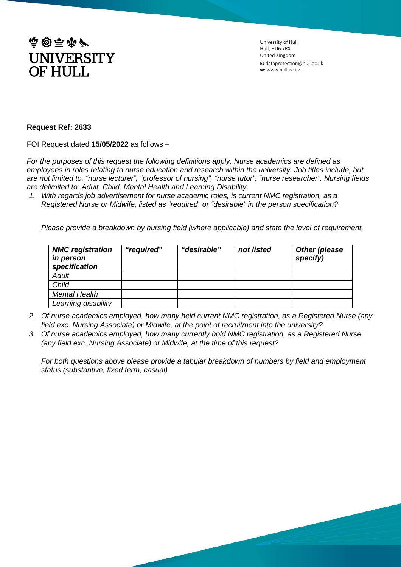

University of Hull Hull, HU6 7RX United Kingdom **E:** dataprotection@hull.ac.uk **w:** www.hull.ac.uk

## **Request Ref: 2633**

FOI Request dated **15/05/2022** as follows –

*For the purposes of this request the following definitions apply. Nurse academics are defined as employees in roles relating to nurse education and research within the university. Job titles include, but are not limited to, "nurse lecturer", "professor of nursing", "nurse tutor", "nurse researcher". Nursing fields are delimited to: Adult, Child, Mental Health and Learning Disability.*

*1. With regards job advertisement for nurse academic roles, is current NMC registration, as a Registered Nurse or Midwife, listed as "required" or "desirable" in the person specification?*

*Please provide a breakdown by nursing field (where applicable) and state the level of requirement.*

| <b>NMC</b> registration<br><i>in person</i><br>specification | "required" | "desirable" | not listed | <b>Other (please</b><br>specify) |
|--------------------------------------------------------------|------------|-------------|------------|----------------------------------|
| <b>Adult</b>                                                 |            |             |            |                                  |
| Child                                                        |            |             |            |                                  |
| <b>Mental Health</b>                                         |            |             |            |                                  |
| Learning disability                                          |            |             |            |                                  |

- *2. Of nurse academics employed, how many held current NMC registration, as a Registered Nurse (any field exc. Nursing Associate) or Midwife, at the point of recruitment into the university?*
- *3. Of nurse academics employed, how many currently hold NMC registration, as a Registered Nurse (any field exc. Nursing Associate) or Midwife, at the time of this request?*

*For both questions above please provide a tabular breakdown of numbers by field and employment status (substantive, fixed term, casual)*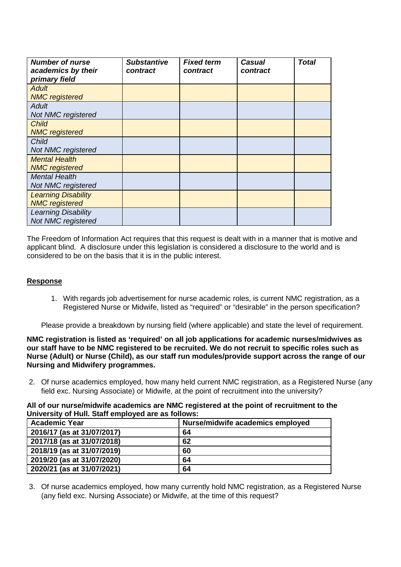| <b>Number of nurse</b><br>academics by their<br>primary field | <b>Substantive</b><br>contract | <b>Fixed term</b><br>contract | <b>Casual</b><br>contract | <b>Total</b> |
|---------------------------------------------------------------|--------------------------------|-------------------------------|---------------------------|--------------|
| Adult<br><b>NMC</b> registered                                |                                |                               |                           |              |
| Adult<br>Not NMC registered                                   |                                |                               |                           |              |
| <b>Child</b><br><b>NMC</b> registered                         |                                |                               |                           |              |
| Child<br>Not NMC registered                                   |                                |                               |                           |              |
| <b>Mental Health</b><br><b>NMC</b> registered                 |                                |                               |                           |              |
| <b>Mental Health</b><br>Not NMC registered                    |                                |                               |                           |              |
| <b>Learning Disability</b><br><b>NMC</b> registered           |                                |                               |                           |              |
| <b>Learning Disability</b><br>Not NMC registered              |                                |                               |                           |              |

The Freedom of Information Act requires that this request is dealt with in a manner that is motive and applicant blind. A disclosure under this legislation is considered a disclosure to the world and is considered to be on the basis that it is in the public interest.

## **Response**

1. With regards job advertisement for nurse academic roles, is current NMC registration, as a Registered Nurse or Midwife, listed as "required" or "desirable" in the person specification?

Please provide a breakdown by nursing field (where applicable) and state the level of requirement.

**NMC registration is listed as 'required' on all job applications for academic nurses/midwives as our staff have to be NMC registered to be recruited. We do not recruit to specific roles such as Nurse (Adult) or Nurse (Child), as our staff run modules/provide support across the range of our Nursing and Midwifery programmes.**

2. Of nurse academics employed, how many held current NMC registration, as a Registered Nurse (any field exc. Nursing Associate) or Midwife, at the point of recruitment into the university?

**All of our nurse/midwife academics are NMC registered at the point of recruitment to the University of Hull. Staff employed are as follows:**

| <b>Academic Year</b>       | Nurse/midwife academics employed |
|----------------------------|----------------------------------|
| 2016/17 (as at 31/07/2017) | 64                               |
| 2017/18 (as at 31/07/2018) | 62                               |
| 2018/19 (as at 31/07/2019) | 60                               |
| 2019/20 (as at 31/07/2020) | 64                               |
| 2020/21 (as at 31/07/2021) | 64                               |

3. Of nurse academics employed, how many currently hold NMC registration, as a Registered Nurse (any field exc. Nursing Associate) or Midwife, at the time of this request?